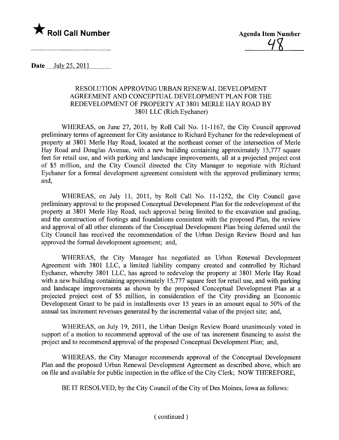

Date July 25, 2011

## RESOLUTION APPROVING URBAN RENEWAL DEVELOPMENT AGREEMENT AND CONCEPTUAL DEVELOPMENT PLAN FOR THE REDEVELOPMENT OF PROPERTY AT 3801 MERLE HAY ROAD BY 3801 LLC (Rich Eychaner)

WHEREAS, on June 27, 2011, by Roll Call No. 11-1167, the City Council approved preliminary terms of agreement for City assistance to Richard Eychaner for the redevelopment of property at 3801 Merle Hay Road, located at the northeast comer of the intersection of Merle Hay Road and Douglas Avenue, with a new building containing approximately 15,777 square feet for retail use, and with parking and landscape improvements, all at a projected project cost of \$5 milion, and the City Council directed the City Manager to negotiate with Richard Eychaner for a formal development agreement consistent with the approved preliminary terms; and,

WHEREAS, on July 11, 2011, by Roll Call No. 11-1252, the City Council gave preliminary approval to the proposed Conceptual Development Plan for the redevelopment of the property at 3801 Merle Hay Road, such approval being limited to the excavation and grading, and the construction of footings and foundations consistent with the proposed Plan, the review and approval of all other elements of the Conceptual Development Plan being deferred until the City Council has received the recommendation of the Urban Design Review Board and has approved the formal development agreement; and,

WHEREAS, the City Manager has negotiated an Urban Renewal Development Agreement with 3801 LLC, a limited liability company created and controlled by Richard Eychaner, whereby 3801 LLC, has agreed to redevelop the property at 3801 Merle Hay Road with a new building containing approximately 15,777 square feet for retail use, and with parking and landscape improvements as shown by the proposed Conceptual Development Plan at a projected project cost of \$5 milion, in consideration of the City providing an Economic Development Grant to be paid in installments over 15 years in an amount equal to 50% of the annual tax increment revenues generated by the incremental value of the project site; and,

WHEREAS, on July 19, 2011, the Urban Design Review Board unanimously voted in support of a motion to recommend approval of the use of tax increment financing to assist the project and to recommend approval of the proposed Conceptual Development Plan; and,

WHEREAS, the City Manager recommends approval of the Conceptual Development Plan and the proposed Urban Renewal Development Agreement as described above, which are on file and available for public inspection in the office of the City Clerk; NOW THEREFORE,

BE IT RESOLVED, by the City Council of the City of Des Moines, Iowa as follows: